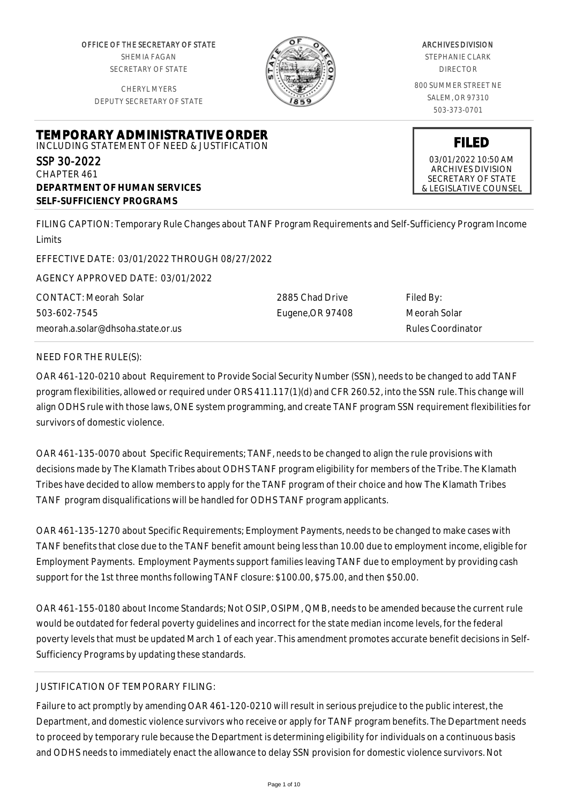OFFICE OF THE SECRETARY OF STATE SHEMIA FAGAN SECRETARY OF STATE

CHERYL MYERS DEPUTY SECRETARY OF STATE

**TEMPORARY ADMINISTRATIVE ORDER** INCLUDING STATEMENT OF NEED & JUSTIFICATION



## ARCHIVES DIVISION

STEPHANIE CLARK DIRECTOR

800 SUMMER STREET NE SALEM, OR 97310 503-373-0701

**FILED**

03/01/2022 10:50 AM ARCHIVES DIVISION SECRETARY OF STATE & LEGISLATIVE COUNSEL

SSP 30-2022 CHAPTER 461 **DEPARTMENT OF HUMAN SERVICES SELF-SUFFICIENCY PROGRAMS**

FILING CAPTION: Temporary Rule Changes about TANF Program Requirements and Self-Sufficiency Program Income Limits

EFFECTIVE DATE: 03/01/2022 THROUGH 08/27/2022

AGENCY APPROVED DATE: 03/01/2022

CONTACT: Meorah Solar 503-602-7545 meorah.a.solar@dhsoha.state.or.us 2885 Chad Drive Eugene,OR 97408

Filed By: Meorah Solar Rules Coordinator

## NEED FOR THE RULE(S):

OAR 461-120-0210 about Requirement to Provide Social Security Number (SSN), needs to be changed to add TANF program flexibilities, allowed or required under ORS 411.117(1)(d) and CFR 260.52, into the SSN rule. This change will align ODHS rule with those laws, ONE system programming, and create TANF program SSN requirement flexibilities for survivors of domestic violence.

OAR 461-135-0070 about Specific Requirements; TANF, needs to be changed to align the rule provisions with decisions made by The Klamath Tribes about ODHS TANF program eligibility for members of the Tribe. The Klamath Tribes have decided to allow members to apply for the TANF program of their choice and how The Klamath Tribes TANF program disqualifications will be handled for ODHS TANF program applicants.

OAR 461-135-1270 about Specific Requirements; Employment Payments, needs to be changed to make cases with TANF benefits that close due to the TANF benefit amount being less than 10.00 due to employment income, eligible for Employment Payments. Employment Payments support families leaving TANF due to employment by providing cash support for the 1st three months following TANF closure: \$100.00, \$75.00, and then \$50.00.

OAR 461-155-0180 about Income Standards; Not OSIP, OSIPM, QMB, needs to be amended because the current rule would be outdated for federal poverty guidelines and incorrect for the state median income levels, for the federal poverty levels that must be updated March 1 of each year. This amendment promotes accurate benefit decisions in Self-Sufficiency Programs by updating these standards.

# JUSTIFICATION OF TEMPORARY FILING:

Failure to act promptly by amending OAR 461-120-0210 will result in serious prejudice to the public interest, the Department, and domestic violence survivors who receive or apply for TANF program benefits. The Department needs to proceed by temporary rule because the Department is determining eligibility for individuals on a continuous basis and ODHS needs to immediately enact the allowance to delay SSN provision for domestic violence survivors. Not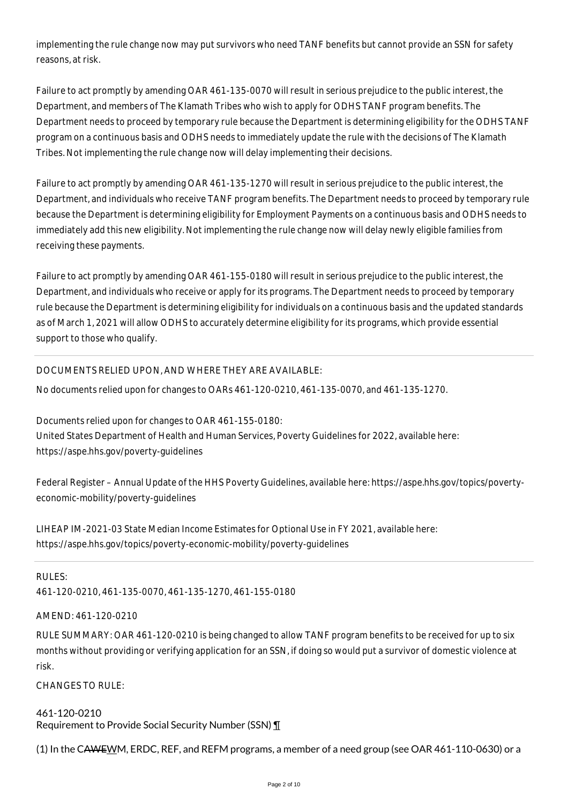implementing the rule change now may put survivors who need TANF benefits but cannot provide an SSN for safety reasons, at risk.

Failure to act promptly by amending OAR 461-135-0070 will result in serious prejudice to the public interest, the Department, and members of The Klamath Tribes who wish to apply for ODHS TANF program benefits. The Department needs to proceed by temporary rule because the Department is determining eligibility for the ODHS TANF program on a continuous basis and ODHS needs to immediately update the rule with the decisions of The Klamath Tribes. Not implementing the rule change now will delay implementing their decisions.

Failure to act promptly by amending OAR 461-135-1270 will result in serious prejudice to the public interest, the Department, and individuals who receive TANF program benefits. The Department needs to proceed by temporary rule because the Department is determining eligibility for Employment Payments on a continuous basis and ODHS needs to immediately add this new eligibility. Not implementing the rule change now will delay newly eligible families from receiving these payments.

Failure to act promptly by amending OAR 461-155-0180 will result in serious prejudice to the public interest, the Department, and individuals who receive or apply for its programs. The Department needs to proceed by temporary rule because the Department is determining eligibility for individuals on a continuous basis and the updated standards as of March 1, 2021 will allow ODHS to accurately determine eligibility for its programs, which provide essential support to those who qualify.

## DOCUMENTS RELIED UPON, AND WHERE THEY ARE AVAILABLE:

No documents relied upon for changes to OARs 461-120-0210, 461-135-0070, and 461-135-1270.

Documents relied upon for changes to OAR 461-155-0180: United States Department of Health and Human Services, Poverty Guidelines for 2022, available here: https://aspe.hhs.gov/poverty-guidelines

Federal Register – Annual Update of the HHS Poverty Guidelines, available here: https://aspe.hhs.gov/topics/povertyeconomic-mobility/poverty-guidelines

LIHEAP IM-2021-03 State Median Income Estimates for Optional Use in FY 2021, available here: https://aspe.hhs.gov/topics/poverty-economic-mobility/poverty-guidelines

#### RULES:

461-120-0210, 461-135-0070, 461-135-1270, 461-155-0180

#### AMEND: 461-120-0210

RULE SUMMARY: OAR 461-120-0210 is being changed to allow TANF program benefits to be received for up to six months without providing or verifying application for an SSN, if doing so would put a survivor of domestic violence at risk.

CHANGES TO RULE:

461-120-0210 Requirement to Provide Social Security Number (SSN) ¶

(1) In the CAWEWM, ERDC, REF, and REFM programs, a member of a need group (see OAR 461-110-0630) or a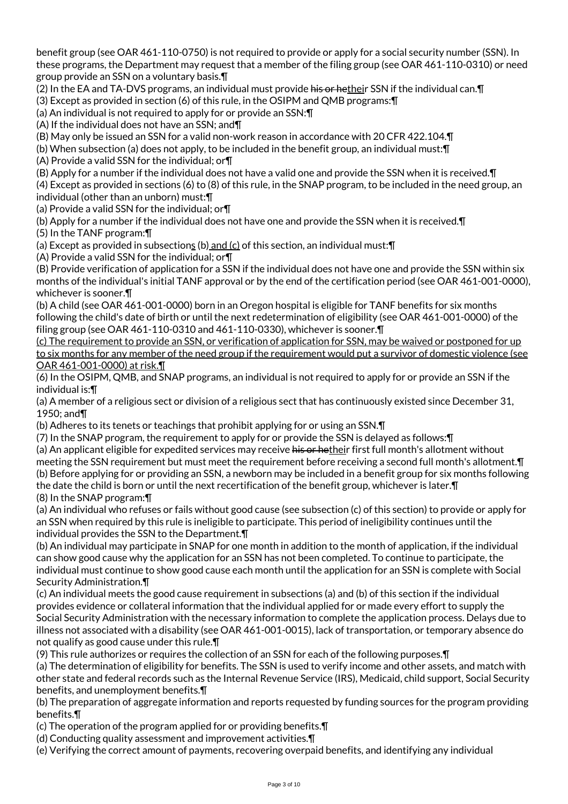benefit group (see OAR 461-110-0750) is not required to provide or apply for a social security number (SSN). In these programs, the Department may request that a member of the filing group (see OAR 461-110-0310) or need group provide an SSN on a voluntary basis.¶

(2) In the EA and TA-DVS programs, an individual must provide his or hetheir SSN if the individual can. [1]

(3) Except as provided in section (6) of this rule, in the OSIPM and QMB programs:¶

(a) An individual is not required to apply for or provide an SSN:¶

(A) If the individual does not have an SSN; and¶

(B) May only be issued an SSN for a valid non-work reason in accordance with 20 CFR 422.104.¶

(b) When subsection (a) does not apply, to be included in the benefit group, an individual must:¶

(A) Provide a valid SSN for the individual; or¶

(B) Apply for a number if the individual does not have a valid one and provide the SSN when it is received.¶

(4) Except as provided in sections (6) to (8) of this rule, in the SNAP program, to be included in the need group, an individual (other than an unborn) must:¶

(a) Provide a valid SSN for the individual; or¶

(b) Apply for a number if the individual does not have one and provide the SSN when it is received.¶

(5) In the TANF program:¶

(a) Except as provided in subsections (b) and (c) of this section, an individual must:¶

(A) Provide a valid SSN for the individual; or¶

(B) Provide verification of application for a SSN if the individual does not have one and provide the SSN within six months of the individual's initial TANF approval or by the end of the certification period (see OAR 461-001-0000), whichever is sooner.¶

(b) A child (see OAR 461-001-0000) born in an Oregon hospital is eligible for TANF benefits for six months following the child's date of birth or until the next redetermination of eligibility (see OAR 461-001-0000) of the filing group (see OAR 461-110-0310 and 461-110-0330), whichever is sooner.¶

(c) The requirement to provide an SSN, or verification of application for SSN, may be waived or postponed for up to six months for any member of the need group if the requirement would put a survivor of domestic violence (see OAR 461-001-0000) at risk.¶

(6) In the OSIPM, QMB, and SNAP programs, an individual is not required to apply for or provide an SSN if the individual is:¶

(a) A member of a religious sect or division of a religious sect that has continuously existed since December 31, 1950; and¶

(b) Adheres to its tenets or teachings that prohibit applying for or using an SSN.¶

(7) In the SNAP program, the requirement to apply for or provide the SSN is delayed as follows:¶

(a) An applicant eligible for expedited services may receive his or hetheir first full month's allotment without meeting the SSN requirement but must meet the requirement before receiving a second full month's allotment.¶ (b) Before applying for or providing an SSN, a newborn may be included in a benefit group for six months following the date the child is born or until the next recertification of the benefit group, whichever is later.¶ (8) In the SNAP program:¶

(a) An individual who refuses or fails without good cause (see subsection (c) of this section) to provide or apply for an SSN when required by this rule is ineligible to participate. This period of ineligibility continues until the individual provides the SSN to the Department.¶

(b) An individual may participate in SNAP for one month in addition to the month of application, if the individual can show good cause why the application for an SSN has not been completed. To continue to participate, the individual must continue to show good cause each month until the application for an SSN is complete with Social Security Administration.¶

(c) An individual meets the good cause requirement in subsections (a) and (b) of this section if the individual provides evidence or collateral information that the individual applied for or made every effort to supply the Social Security Administration with the necessary information to complete the application process. Delays due to illness not associated with a disability (see OAR 461-001-0015), lack of transportation, or temporary absence do not qualify as good cause under this rule.¶

(9) This rule authorizes or requires the collection of an SSN for each of the following purposes.¶

(a) The determination of eligibility for benefits. The SSN is used to verify income and other assets, and match with other state and federal records such as the Internal Revenue Service (IRS), Medicaid, child support, Social Security benefits, and unemployment benefits.¶

(b) The preparation of aggregate information and reports requested by funding sources for the program providing benefits.¶

(c) The operation of the program applied for or providing benefits.¶

(d) Conducting quality assessment and improvement activities.¶

(e) Verifying the correct amount of payments, recovering overpaid benefits, and identifying any individual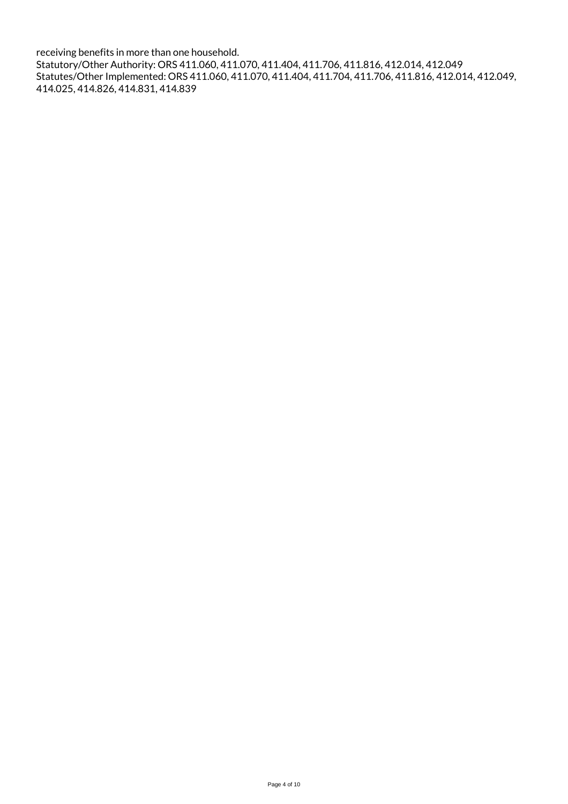receiving benefits in more than one household. Statutory/Other Authority: ORS 411.060, 411.070, 411.404, 411.706, 411.816, 412.014, 412.049 Statutes/Other Implemented: ORS 411.060, 411.070, 411.404, 411.704, 411.706, 411.816, 412.014, 412.049, 414.025, 414.826, 414.831, 414.839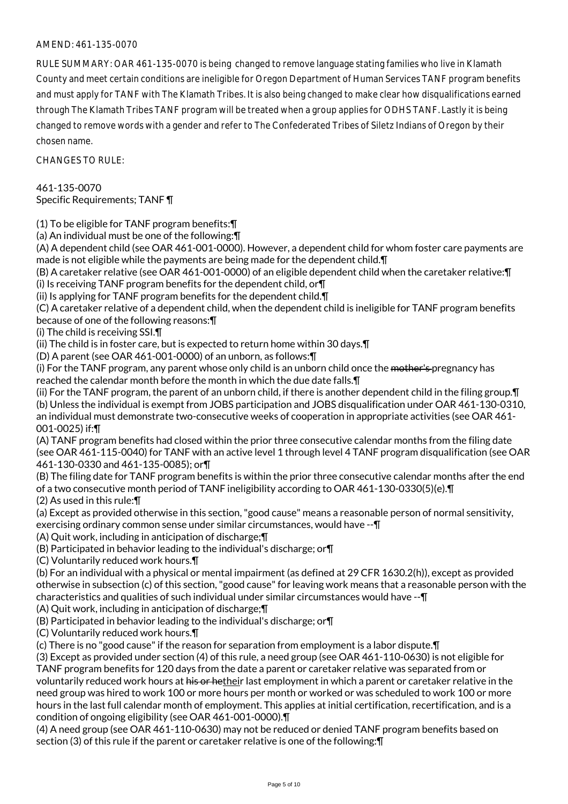### AMEND: 461-135-0070

RULE SUMMARY: OAR 461-135-0070 is being changed to remove language stating families who live in Klamath County and meet certain conditions are ineligible for Oregon Department of Human Services TANF program benefits and must apply for TANF with The Klamath Tribes. It is also being changed to make clear how disqualifications earned through The Klamath Tribes TANF program will be treated when a group applies for ODHS TANF. Lastly it is being changed to remove words with a gender and refer to The Confederated Tribes of Siletz Indians of Oregon by their chosen name.

CHANGES TO RULE:

461-135-0070 Specific Requirements; TANF ¶

(1) To be eligible for TANF program benefits:¶

(a) An individual must be one of the following:¶

(A) A dependent child (see OAR 461-001-0000). However, a dependent child for whom foster care payments are made is not eligible while the payments are being made for the dependent child.¶

(B) A caretaker relative (see OAR 461-001-0000) of an eligible dependent child when the caretaker relative:¶ (i) Is receiving TANF program benefits for the dependent child, or¶

(ii) Is applying for TANF program benefits for the dependent child.¶

(C) A caretaker relative of a dependent child, when the dependent child is ineligible for TANF program benefits because of one of the following reasons:¶

(i) The child is receiving SSI.¶

(ii) The child is in foster care, but is expected to return home within 30 days.¶

(D) A parent (see OAR 461-001-0000) of an unborn, as follows:¶

(i) For the TANF program, any parent whose only child is an unborn child once the <del>mother's p</del>regnancy has reached the calendar month before the month in which the due date falls.¶

(ii) For the TANF program, the parent of an unborn child, if there is another dependent child in the filing group.¶ (b) Unless the individual is exempt from JOBS participation and JOBS disqualification under OAR 461-130-0310, an individual must demonstrate two-consecutive weeks of cooperation in appropriate activities (see OAR 461- 001-0025) if:¶

(A) TANF program benefits had closed within the prior three consecutive calendar months from the filing date (see OAR 461-115-0040) for TANF with an active level 1 through level 4 TANF program disqualification (see OAR 461-130-0330 and 461-135-0085); or¶

(B) The filing date for TANF program benefits is within the prior three consecutive calendar months after the end of a two consecutive month period of TANF ineligibility according to OAR 461-130-0330(5)(e).¶ (2) As used in this rule:¶

(a) Except as provided otherwise in this section, "good cause" means a reasonable person of normal sensitivity, exercising ordinary common sense under similar circumstances, would have --¶

(A) Quit work, including in anticipation of discharge;¶

(B) Participated in behavior leading to the individual's discharge; or¶

(C) Voluntarily reduced work hours.¶

(b) For an individual with a physical or mental impairment (as defined at 29 CFR 1630.2(h)), except as provided otherwise in subsection (c) of this section, "good cause" for leaving work means that a reasonable person with the characteristics and qualities of such individual under similar circumstances would have --¶

(A) Quit work, including in anticipation of discharge;¶

(B) Participated in behavior leading to the individual's discharge; or¶

(C) Voluntarily reduced work hours.¶

(c) There is no "good cause" if the reason for separation from employment is a labor dispute.¶

(3) Except as provided under section (4) of this rule, a need group (see OAR 461-110-0630) is not eligible for TANF program benefits for 120 days from the date a parent or caretaker relative was separated from or voluntarily reduced work hours at his or hetheir last employment in which a parent or caretaker relative in the need group was hired to work 100 or more hours per month or worked or was scheduled to work 100 or more hours in the last full calendar month of employment. This applies at initial certification, recertification, and is a condition of ongoing eligibility (see OAR 461-001-0000).¶

(4) A need group (see OAR 461-110-0630) may not be reduced or denied TANF program benefits based on section (3) of this rule if the parent or caretaker relative is one of the following:¶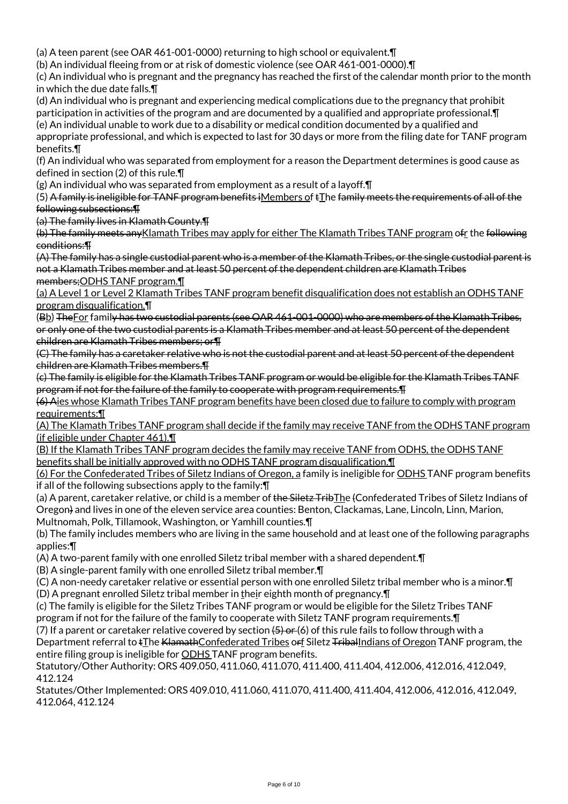(a) A teen parent (see OAR 461-001-0000) returning to high school or equivalent.¶

(b) An individual fleeing from or at risk of domestic violence (see OAR 461-001-0000).¶

(c) An individual who is pregnant and the pregnancy has reached the first of the calendar month prior to the month in which the due date falls.¶

(d) An individual who is pregnant and experiencing medical complications due to the pregnancy that prohibit participation in activities of the program and are documented by a qualified and appropriate professional.¶

(e) An individual unable to work due to a disability or medical condition documented by a qualified and appropriate professional, and which is expected to last for 30 days or more from the filing date for TANF program benefits.¶

(f) An individual who was separated from employment for a reason the Department determines is good cause as defined in section (2) of this rule.¶

(g) An individual who was separated from employment as a result of a layoff.¶

(5) A family is ineligible for TANF program benefits iMembers of tThe family meets the requirements of all of the following subsections:¶

(a) The family lives in Klamath County.¶

(b) The family meets any Klamath Tribes may apply for either The Klamath Tribes TANF program of t the following conditions:¶

(A) The family has a single custodial parent who is a member of the Klamath Tribes, or the single custodial parent is not a Klamath Tribes member and at least 50 percent of the dependent children are Klamath Tribes members;ODHS TANF program.¶

(a) A Level 1 or Level 2 Klamath Tribes TANF program benefit disqualification does not establish an ODHS TANF program disqualification.¶

(Bb) The For family has two custodial parents (see OAR 461-001-0000) who are members of the Klamath Tribes, or only one of the two custodial parents is a Klamath Tribes member and at least 50 percent of the dependent children are Klamath Tribes members; or¶

(C) The family has a caretaker relative who is not the custodial parent and at least 50 percent of the dependent children are Klamath Tribes members.¶

(c) The family is eligible for the Klamath Tribes TANF program or would be eligible for the Klamath Tribes TANF program if not for the failure of the family to cooperate with program requirements.¶

(6) Aies whose Klamath Tribes TANF program benefits have been closed due to failure to comply with program requirements:¶

(A) The Klamath Tribes TANF program shall decide if the family may receive TANF from the ODHS TANF program (if eligible under Chapter 461).¶

(B) If the Klamath Tribes TANF program decides the family may receive TANF from ODHS, the ODHS TANF benefits shall be initially approved with no ODHS TANF program disqualification.¶

(6) For the Confederated Tribes of Siletz Indians of Oregon, a family is ineligible for ODHS TANF program benefits if all of the following subsections apply to the family:¶

(a) A parent, caretaker relative, or child is a member of the Siletz TribThe (Confederated Tribes of Siletz Indians of Oregon) and lives in one of the eleven service area counties: Benton, Clackamas, Lane, Lincoln, Linn, Marion, Multnomah, Polk, Tillamook, Washington, or Yamhill counties.¶

(b) The family includes members who are living in the same household and at least one of the following paragraphs applies:¶

(A) A two-parent family with one enrolled Siletz tribal member with a shared dependent.¶

(B) A single-parent family with one enrolled Siletz tribal member.¶

(C) A non-needy caretaker relative or essential person with one enrolled Siletz tribal member who is a minor.¶

(D) A pregnant enrolled Siletz tribal member in their eighth month of pregnancy.¶

(c) The family is eligible for the Siletz Tribes TANF program or would be eligible for the Siletz Tribes TANF program if not for the failure of the family to cooperate with Siletz TANF program requirements.¶

(7) If a parent or caretaker relative covered by section  $(5)$  or  $(6)$  of this rule fails to follow through with a

Department referral to  $\frac{1}{2}$ he KlamathConfederated Tribes orf Siletz Triballndians of Oregon TANF program, the entire filing group is ineligible for **ODHS** TANF program benefits.

Statutory/Other Authority: ORS 409.050, 411.060, 411.070, 411.400, 411.404, 412.006, 412.016, 412.049, 412.124

Statutes/Other Implemented: ORS 409.010, 411.060, 411.070, 411.400, 411.404, 412.006, 412.016, 412.049, 412.064, 412.124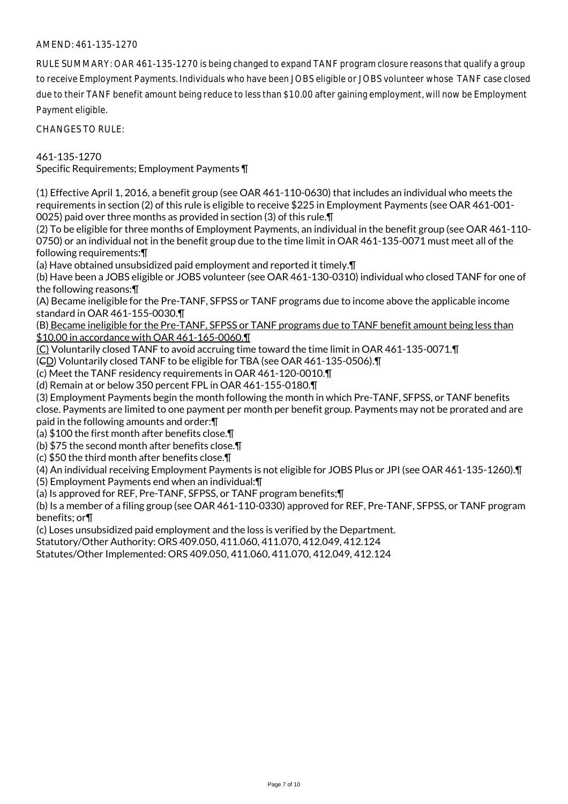## AMEND: 461-135-1270

RULE SUMMARY: OAR 461-135-1270 is being changed to expand TANF program closure reasons that qualify a group to receive Employment Payments. Individuals who have been JOBS eligible or JOBS volunteer whose TANF case closed due to their TANF benefit amount being reduce to less than \$10.00 after gaining employment, will now be Employment Payment eligible.

CHANGES TO RULE:

461-135-1270 Specific Requirements; Employment Payments ¶

(1) Effective April 1, 2016, a benefit group (see OAR 461-110-0630) that includes an individual who meets the requirements in section (2) of this rule is eligible to receive \$225 in Employment Payments (see OAR 461-001- 0025) paid over three months as provided in section (3) of this rule.¶

(2) To be eligible for three months of Employment Payments, an individual in the benefit group (see OAR 461-110- 0750) or an individual not in the benefit group due to the time limit in OAR 461-135-0071 must meet all of the following requirements:¶

(a) Have obtained unsubsidized paid employment and reported it timely.¶

(b) Have been a JOBS eligible or JOBS volunteer (see OAR 461-130-0310) individual who closed TANF for one of the following reasons:¶

(A) Became ineligible for the Pre-TANF, SFPSS or TANF programs due to income above the applicable income standard in OAR 461-155-0030.¶

(B) Became ineligible for the Pre-TANF, SFPSS or TANF programs due to TANF benefit amount being less than \$10.00 in accordance with OAR 461-165-0060.¶

(C) Voluntarily closed TANF to avoid accruing time toward the time limit in OAR 461-135-0071.¶

(CD) Voluntarily closed TANF to be eligible for TBA (see OAR 461-135-0506).¶

(c) Meet the TANF residency requirements in OAR 461-120-0010.¶

(d) Remain at or below 350 percent FPL in OAR 461-155-0180.¶

(3) Employment Payments begin the month following the month in which Pre-TANF, SFPSS, or TANF benefits close. Payments are limited to one payment per month per benefit group. Payments may not be prorated and are paid in the following amounts and order:¶

(a) \$100 the first month after benefits close.¶

(b) \$75 the second month after benefits close.¶

(c) \$50 the third month after benefits close.¶

(4) An individual receiving Employment Payments is not eligible for JOBS Plus or JPI (see OAR 461-135-1260).¶

(5) Employment Payments end when an individual:¶

(a) Is approved for REF, Pre-TANF, SFPSS, or TANF program benefits;¶

(b) Is a member of a filing group (see OAR 461-110-0330) approved for REF, Pre-TANF, SFPSS, or TANF program benefits; or¶

(c) Loses unsubsidized paid employment and the loss is verified by the Department.

Statutory/Other Authority: ORS 409.050, 411.060, 411.070, 412.049, 412.124

Statutes/Other Implemented: ORS 409.050, 411.060, 411.070, 412.049, 412.124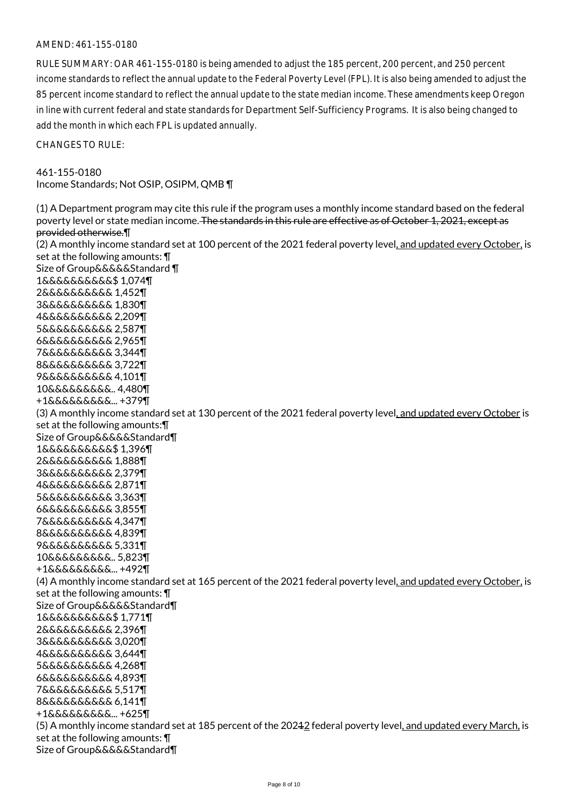#### AMEND: 461-155-0180

RULE SUMMARY: OAR 461-155-0180 is being amended to adjust the 185 percent, 200 percent, and 250 percent income standards to reflect the annual update to the Federal Poverty Level (FPL). It is also being amended to adjust the 85 percent income standard to reflect the annual update to the state median income. These amendments keep Oregon in line with current federal and state standards for Department Self-Sufficiency Programs. It is also being changed to add the month in which each FPL is updated annually.

CHANGES TO RULE:

#### 461-155-0180 Income Standards; Not OSIP, OSIPM, QMB ¶

(1) A Department program may cite this rule if the program uses a monthly income standard based on the federal poverty level or state median income. The standards in this rule are effective as of October 1, 2021, except as provided otherwise.¶ (2) A monthly income standard set at 100 percent of the 2021 federal poverty level, and updated every October, is set at the following amounts: ¶ Size of Group&&&&&Standard ¶ 1&&&&&&&&&&\$ 1,074¶ 2&&&&&&&&&& 1,452¶ 3&&&&&&&&&& 1,830¶ 4&&&&&&&&&& 2,209¶ 5&&&&&&&&&& 2,587¶ 6&&&&&&&&&& 2,965¶ 7&&&&&&&&&& 3,344¶ 8&&&&&&&&&& 3,722¶ 9&&&&&&&&&& 4,101¶ 10&&&&&&&&&.. 4,480¶ +1&&&&&&&&&... +379¶ (3) A monthly income standard set at 130 percent of the 2021 federal poverty level, and updated every October is set at the following amounts:¶ Size of Group&&&&&Standard¶ 1&&&&&&&&&&\$ 1,396¶ 2&&&&&&&&&& 1,888¶ 3&&&&&&&&&& 2,379¶ 4&&&&&&&&&& 2,871¶ 5&&&&&&&&&& 3,363¶ 6&&&&&&&&&& 3,855¶ 7&&&&&&&&&& 4,347¶ 8&&&&&&&&&& 4,839¶ 9&&&&&&&&&& 5,331¶ 10&&&&&&&&&.. 5,823¶ +1&&&&&&&&&... +492¶ (4) A monthly income standard set at 165 percent of the 2021 federal poverty level, and updated every October, is set at the following amounts: ¶ Size of Group&&&&&Standard¶ 1&&&&&&&&&&\$ 1,771¶ 2&&&&&&&&&& 2,396¶ 3&&&&&&&&&& 3,020¶ 4&&&&&&&&&& 3,644¶ 5&&&&&&&&&& 4,268¶ 6&&&&&&&&&& 4,893¶ 7&&&&&&&&&& 5,517¶ 8&&&&&&&&&& 6,141¶ +1&&&&&&&&&... +625¶ (5) A monthly income standard set at 185 percent of the 20212 federal poverty level, and updated every March, is set at the following amounts: ¶ Size of Group&&&&&Standard¶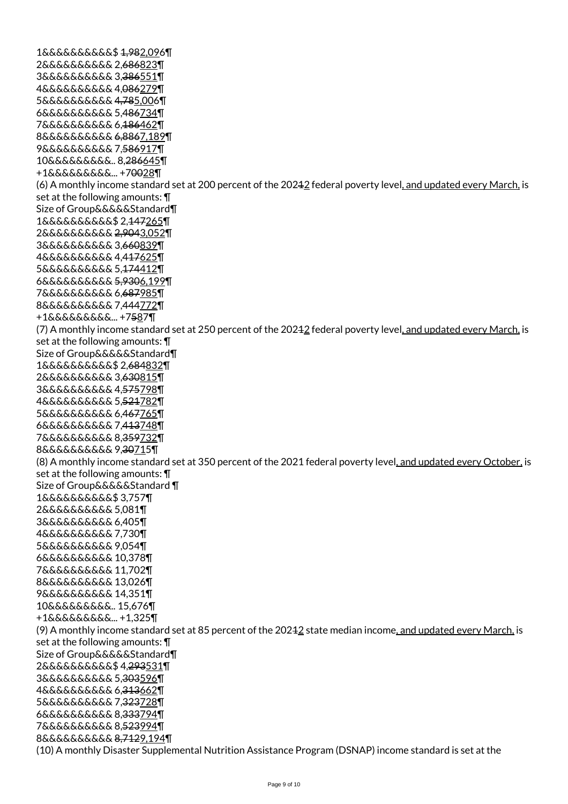1&&&&&&&&&&\$ 1,982,096¶ 2&&&&&&&&&& 2,686823¶ 3&&&&&&&&&& 3,386551¶ 4&&&&&&&&&& 4,086279¶ 5&&&&&&&&&& 4,785,006¶ 6&&&&&&&&&& 5,486734¶ 7&&&&&&&&&& 6,186462¶ 8&&&&&&&&&& 6,8867,189¶ 9&&&&&&&&&& 7,586917¶ 10&&&&&&&&&.. 8,286645¶ +1&&&&&&&&&... +70028¶ (6) A monthly income standard set at 200 percent of the 20212 federal poverty level, and updated every March, is set at the following amounts: ¶ Size of Group&&&&&Standard¶ 1&&&&&&&&&&\$ 2,147265¶ 2&&&&&&&&&& 2,9043,052¶ 3&&&&&&&&&& 3,660839¶ 4&&&&&&&&&& 4,417625¶ 5&&&&&&&&&& 5,174412¶ 6&&&&&&&&&& 5,9306,199¶ 7&&&&&&&&&& 6,687985¶ 8&&&&&&&&&& 7,444772¶ +1&&&&&&&&&... +7587¶ (7) A monthly income standard set at 250 percent of the 20212 federal poverty level, and updated every March, is set at the following amounts: ¶ Size of Group&&&&&Standard¶ 1&&&&&&&&&&\$ 2,684832¶ 2&&&&&&&&&& 3,630815¶ 3&&&&&&&&&& 4,575798¶ 4&&&&&&&&&& 5,521782¶ 5&&&&&&&&&& 6,467765¶ 6&&&&&&&&&& 7,413748¶ 7&&&&&&&&&& 8,359732¶ 8&&&&&&&&&& 9,30715¶ (8) A monthly income standard set at 350 percent of the 2021 federal poverty level, and updated every October, is set at the following amounts: ¶ Size of Group&&&&&Standard ¶ 1&&&&&&&&&&\$ 3,757¶ 2&&&&&&&&&& 5,081¶ 3&&&&&&&&&& 6,405¶ 4&&&&&&&&&& 7,730¶ 5&&&&&&&&&& 9,054¶ 6&&&&&&&&&& 10,378¶ 7&&&&&&&&&& 11,702¶ 8&&&&&&&&&& 13,026¶ 9&&&&&&&&&& 14,351¶ 10&&&&&&&&&.. 15,676¶ +1&&&&&&&&&... +1,325¶ (9) A monthly income standard set at 85 percent of the 20242 state median income, and updated every March, is set at the following amounts: ¶ Size of Group&&&&&Standard¶ 2&&&&&&&&&&\$ 4,293531¶ 3&&&&&&&&&& 5,303596¶ 4&&&&&&&&&& 6,313662¶ 5&&&&&&&&&& 7,323728¶ 6&&&&&&&&&& 8,333794¶ 7&&&&&&&&&& 8,523994¶ 8&&&&&&&&&& 8,7129,194¶ (10) A monthly Disaster Supplemental Nutrition Assistance Program (DSNAP) income standard is set at the